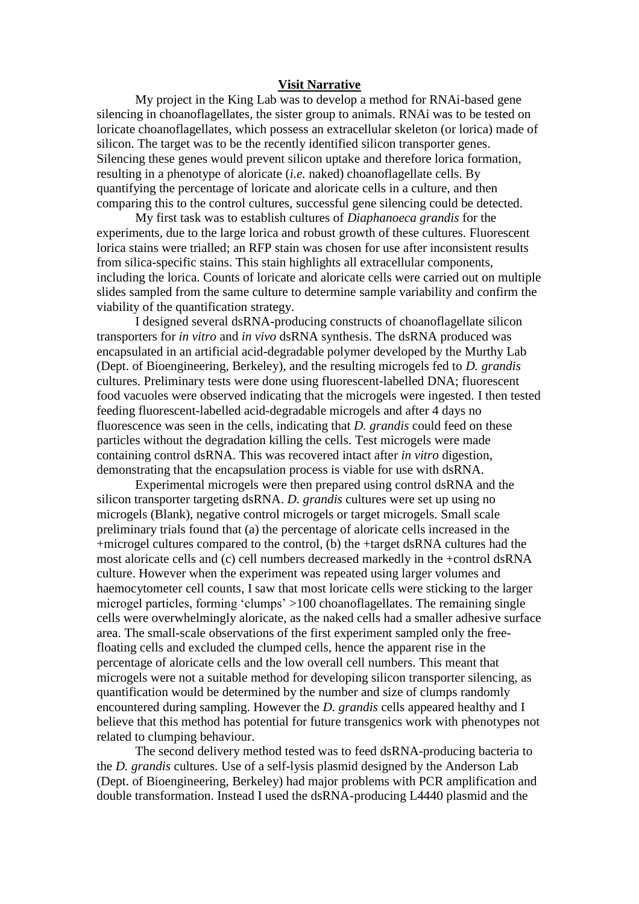## **Visit Narrative**

My project in the King Lab was to develop a method for RNAi-based gene silencing in choanoflagellates, the sister group to animals. RNAi was to be tested on loricate choanoflagellates, which possess an extracellular skeleton (or lorica) made of silicon. The target was to be the recently identified silicon transporter genes. Silencing these genes would prevent silicon uptake and therefore lorica formation, resulting in a phenotype of aloricate (*i.e.* naked) choanoflagellate cells. By quantifying the percentage of loricate and aloricate cells in a culture, and then comparing this to the control cultures, successful gene silencing could be detected.

My first task was to establish cultures of *Diaphanoeca grandis* for the experiments, due to the large lorica and robust growth of these cultures. Fluorescent lorica stains were trialled; an RFP stain was chosen for use after inconsistent results from silica-specific stains. This stain highlights all extracellular components, including the lorica. Counts of loricate and aloricate cells were carried out on multiple slides sampled from the same culture to determine sample variability and confirm the viability of the quantification strategy.

I designed several dsRNA-producing constructs of choanoflagellate silicon transporters for *in vitro* and *in vivo* dsRNA synthesis. The dsRNA produced was encapsulated in an artificial acid-degradable polymer developed by the Murthy Lab (Dept. of Bioengineering, Berkeley), and the resulting microgels fed to *D. grandis*  cultures. Preliminary tests were done using fluorescent-labelled DNA; fluorescent food vacuoles were observed indicating that the microgels were ingested. I then tested feeding fluorescent-labelled acid-degradable microgels and after 4 days no fluorescence was seen in the cells, indicating that *D. grandis* could feed on these particles without the degradation killing the cells. Test microgels were made containing control dsRNA. This was recovered intact after *in vitro* digestion, demonstrating that the encapsulation process is viable for use with dsRNA.

Experimental microgels were then prepared using control dsRNA and the silicon transporter targeting dsRNA. *D. grandis* cultures were set up using no microgels (Blank), negative control microgels or target microgels. Small scale preliminary trials found that (a) the percentage of aloricate cells increased in the +microgel cultures compared to the control, (b) the +target dsRNA cultures had the most aloricate cells and (c) cell numbers decreased markedly in the +control dsRNA culture. However when the experiment was repeated using larger volumes and haemocytometer cell counts, I saw that most loricate cells were sticking to the larger microgel particles, forming 'clumps' >100 choanoflagellates. The remaining single cells were overwhelmingly aloricate, as the naked cells had a smaller adhesive surface area. The small-scale observations of the first experiment sampled only the freefloating cells and excluded the clumped cells, hence the apparent rise in the percentage of aloricate cells and the low overall cell numbers. This meant that microgels were not a suitable method for developing silicon transporter silencing, as quantification would be determined by the number and size of clumps randomly encountered during sampling. However the *D. grandis* cells appeared healthy and I believe that this method has potential for future transgenics work with phenotypes not related to clumping behaviour.

The second delivery method tested was to feed dsRNA-producing bacteria to the *D. grandis* cultures. Use of a self-lysis plasmid designed by the Anderson Lab (Dept. of Bioengineering, Berkeley) had major problems with PCR amplification and double transformation. Instead I used the dsRNA-producing L4440 plasmid and the